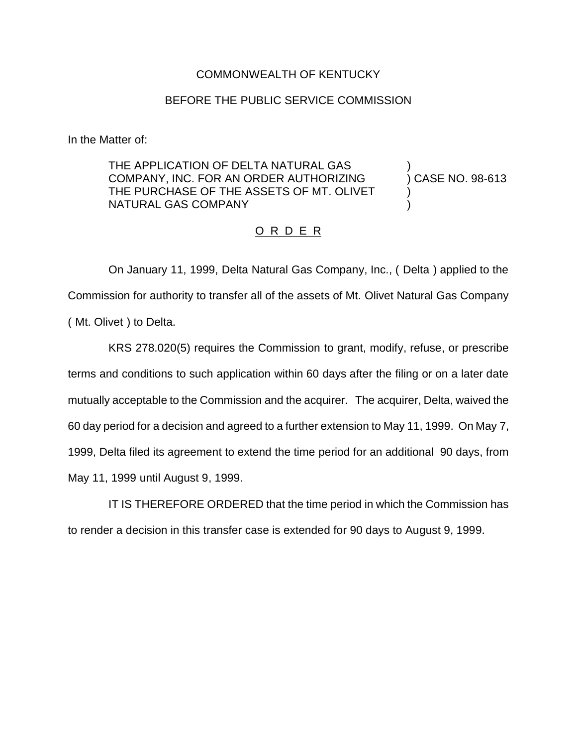## COMMONWEALTH OF KENTUCKY

## BEFORE THE PUBLIC SERVICE COMMISSION

In the Matter of:

THE APPLICATION OF DELTA NATURAL GAS  $\bigcup_{n=1}^{\infty}$  (COMPANY, INC. FOR AN ORDER AUTHORIZING ) CASE NO. 98-613 COMPANY, INC. FOR AN ORDER AUTHORIZING THE PURCHASE OF THE ASSETS OF MT. OLIVET NATURAL GAS COMPANY )

## O R D E R

On January 11, 1999, Delta Natural Gas Company, Inc., ( Delta ) applied to the Commission for authority to transfer all of the assets of Mt. Olivet Natural Gas Company ( Mt. Olivet ) to Delta.

KRS 278.020(5) requires the Commission to grant, modify, refuse, or prescribe terms and conditions to such application within 60 days after the filing or on a later date mutually acceptable to the Commission and the acquirer. The acquirer, Delta, waived the 60 day period for a decision and agreed to a further extension to May 11, 1999. On May 7, 1999, Delta filed its agreement to extend the time period for an additional 90 days, from May 11, 1999 until August 9, 1999.

IT IS THEREFORE ORDERED that the time period in which the Commission has to render a decision in this transfer case is extended for 90 days to August 9, 1999.